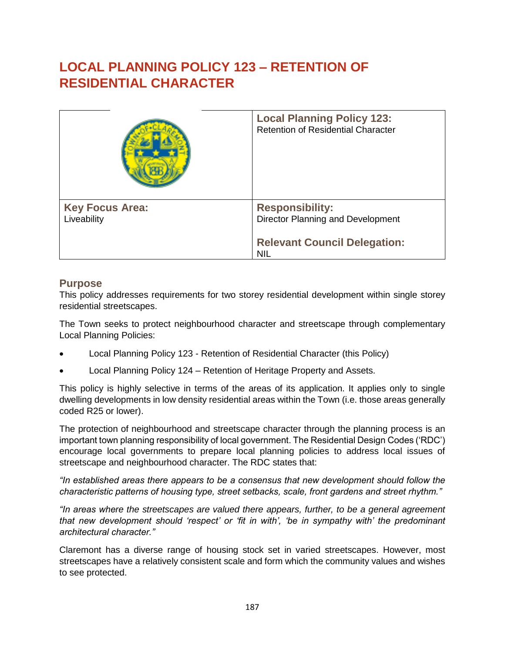# **LOCAL PLANNING POLICY 123 – RETENTION OF RESIDENTIAL CHARACTER**

|                                       | <b>Local Planning Policy 123:</b><br><b>Retention of Residential Character</b> |  |
|---------------------------------------|--------------------------------------------------------------------------------|--|
| <b>Key Focus Area:</b><br>Liveability | <b>Responsibility:</b><br>Director Planning and Development                    |  |
|                                       | <b>Relevant Council Delegation:</b><br><b>NIL</b>                              |  |

# **Purpose**

This policy addresses requirements for two storey residential development within single storey residential streetscapes.

The Town seeks to protect neighbourhood character and streetscape through complementary Local Planning Policies:

- Local Planning Policy 123 Retention of Residential Character (this Policy)
- Local Planning Policy 124 Retention of Heritage Property and Assets.

This policy is highly selective in terms of the areas of its application. It applies only to single dwelling developments in low density residential areas within the Town (i.e. those areas generally coded R25 or lower).

The protection of neighbourhood and streetscape character through the planning process is an important town planning responsibility of local government. The Residential Design Codes ('RDC') encourage local governments to prepare local planning policies to address local issues of streetscape and neighbourhood character. The RDC states that:

*"In established areas there appears to be a consensus that new development should follow the characteristic patterns of housing type, street setbacks, scale, front gardens and street rhythm."* 

*"In areas where the streetscapes are valued there appears, further, to be a general agreement that new development should 'respect' or 'fit in with', 'be in sympathy with' the predominant architectural character."*

Claremont has a diverse range of housing stock set in varied streetscapes. However, most streetscapes have a relatively consistent scale and form which the community values and wishes to see protected.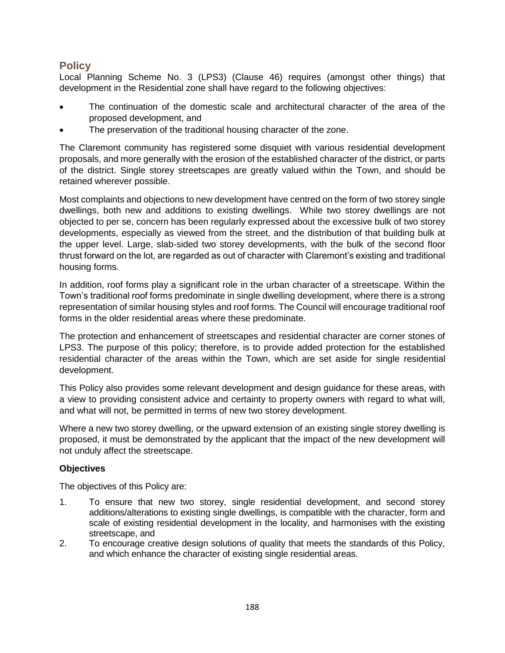# **Policy**

Local Planning Scheme No. 3 (LPS3) (Clause 46) requires (amongst other things) that development in the Residential zone shall have regard to the following objectives:

- The continuation of the domestic scale and architectural character of the area of the proposed development, and
- The preservation of the traditional housing character of the zone.

The Claremont community has registered some disquiet with various residential development proposals, and more generally with the erosion of the established character of the district, or parts of the district. Single storey streetscapes are greatly valued within the Town, and should be retained wherever possible.

Most complaints and objections to new development have centred on the form of two storey single dwellings, both new and additions to existing dwellings. While two storey dwellings are not objected to per se, concern has been regularly expressed about the excessive bulk of two storey developments, especially as viewed from the street, and the distribution of that building bulk at the upper level. Large, slab-sided two storey developments, with the bulk of the second floor thrust forward on the lot, are regarded as out of character with Claremont's existing and traditional housing forms.

In addition, roof forms play a significant role in the urban character of a streetscape. Within the Town's traditional roof forms predominate in single dwelling development, where there is a strong representation of similar housing styles and roof forms. The Council will encourage traditional roof forms in the older residential areas where these predominate.

The protection and enhancement of streetscapes and residential character are corner stones of LPS3. The purpose of this policy; therefore, is to provide added protection for the established residential character of the areas within the Town, which are set aside for single residential development.

This Policy also provides some relevant development and design guidance for these areas, with a view to providing consistent advice and certainty to property owners with regard to what will, and what will not, be permitted in terms of new two storey development.

Where a new two storey dwelling, or the upward extension of an existing single storey dwelling is proposed, it must be demonstrated by the applicant that the impact of the new development will not unduly affect the streetscape.

# **Objectives**

The objectives of this Policy are:

- 1. To ensure that new two storey, single residential development, and second storey additions/alterations to existing single dwellings, is compatible with the character, form and scale of existing residential development in the locality, and harmonises with the existing streetscape, and
- 2. To encourage creative design solutions of quality that meets the standards of this Policy, and which enhance the character of existing single residential areas.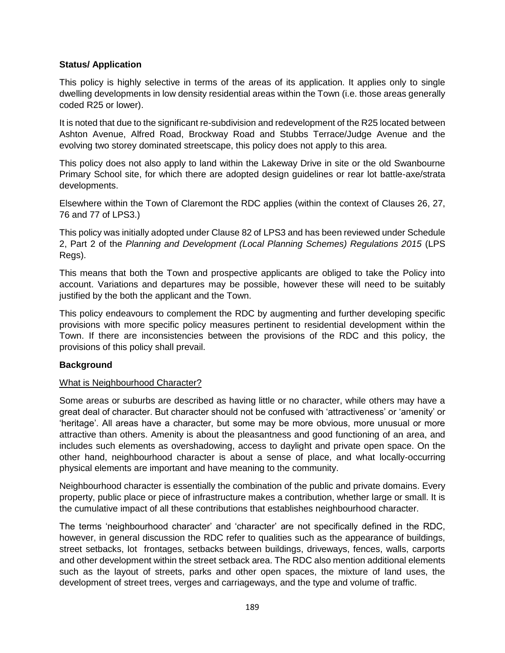# **Status/ Application**

This policy is highly selective in terms of the areas of its application. It applies only to single dwelling developments in low density residential areas within the Town (i.e. those areas generally coded R25 or lower).

It is noted that due to the significant re-subdivision and redevelopment of the R25 located between Ashton Avenue, Alfred Road, Brockway Road and Stubbs Terrace/Judge Avenue and the evolving two storey dominated streetscape, this policy does not apply to this area.

This policy does not also apply to land within the Lakeway Drive in site or the old Swanbourne Primary School site, for which there are adopted design guidelines or rear lot battle-axe/strata developments.

Elsewhere within the Town of Claremont the RDC applies (within the context of Clauses 26, 27, 76 and 77 of LPS3.)

This policy was initially adopted under Clause 82 of LPS3 and has been reviewed under Schedule 2, Part 2 of the *Planning and Development (Local Planning Schemes) Regulations 2015* (LPS Regs).

This means that both the Town and prospective applicants are obliged to take the Policy into account. Variations and departures may be possible, however these will need to be suitably justified by the both the applicant and the Town.

This policy endeavours to complement the RDC by augmenting and further developing specific provisions with more specific policy measures pertinent to residential development within the Town. If there are inconsistencies between the provisions of the RDC and this policy, the provisions of this policy shall prevail.

## **Background**

## What is Neighbourhood Character?

Some areas or suburbs are described as having little or no character, while others may have a great deal of character. But character should not be confused with 'attractiveness' or 'amenity' or 'heritage'. All areas have a character, but some may be more obvious, more unusual or more attractive than others. Amenity is about the pleasantness and good functioning of an area, and includes such elements as overshadowing, access to daylight and private open space. On the other hand, neighbourhood character is about a sense of place, and what locally-occurring physical elements are important and have meaning to the community.

Neighbourhood character is essentially the combination of the public and private domains. Every property, public place or piece of infrastructure makes a contribution, whether large or small. It is the cumulative impact of all these contributions that establishes neighbourhood character.

The terms 'neighbourhood character' and 'character' are not specifically defined in the RDC, however, in general discussion the RDC refer to qualities such as the appearance of buildings, street setbacks, lot frontages, setbacks between buildings, driveways, fences, walls, carports and other development within the street setback area. The RDC also mention additional elements such as the layout of streets, parks and other open spaces, the mixture of land uses, the development of street trees, verges and carriageways, and the type and volume of traffic.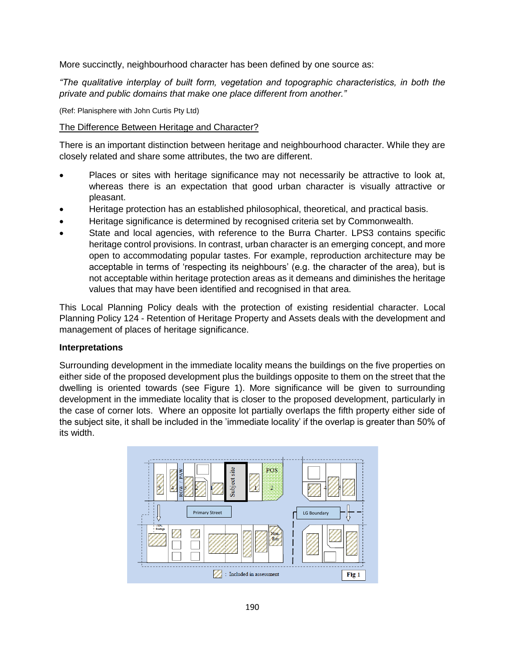More succinctly, neighbourhood character has been defined by one source as:

*"The qualitative interplay of built form, vegetation and topographic characteristics, in both the private and public domains that make one place different from another."*

(Ref: Planisphere with John Curtis Pty Ltd)

# The Difference Between Heritage and Character?

There is an important distinction between heritage and neighbourhood character. While they are closely related and share some attributes, the two are different.

- Places or sites with heritage significance may not necessarily be attractive to look at, whereas there is an expectation that good urban character is visually attractive or pleasant.
- Heritage protection has an established philosophical, theoretical, and practical basis.
- Heritage significance is determined by recognised criteria set by Commonwealth.
- State and local agencies, with reference to the Burra Charter. LPS3 contains specific heritage control provisions. In contrast, urban character is an emerging concept, and more open to accommodating popular tastes. For example, reproduction architecture may be acceptable in terms of 'respecting its neighbours' (e.g. the character of the area), but is not acceptable within heritage protection areas as it demeans and diminishes the heritage values that may have been identified and recognised in that area.

This Local Planning Policy deals with the protection of existing residential character. Local Planning Policy 124 - Retention of Heritage Property and Assets deals with the development and management of places of heritage significance.

## **Interpretations**

Surrounding development in the immediate locality means the buildings on the five properties on either side of the proposed development plus the buildings opposite to them on the street that the dwelling is oriented towards (see Figure 1). More significance will be given to surrounding development in the immediate locality that is closer to the proposed development, particularly in the case of corner lots. Where an opposite lot partially overlaps the fifth property either side of the subject site, it shall be included in the 'immediate locality' if the overlap is greater than 50% of its width.

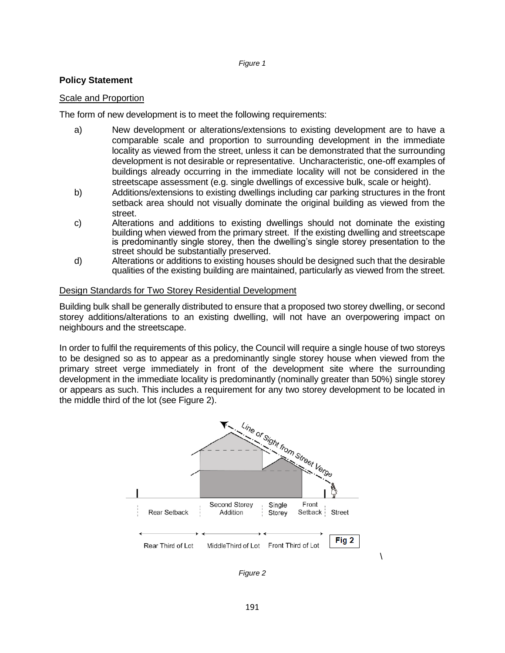#### *Figure 1*

#### **Policy Statement**

#### Scale and Proportion

The form of new development is to meet the following requirements:

- a) New development or alterations/extensions to existing development are to have a comparable scale and proportion to surrounding development in the immediate locality as viewed from the street, unless it can be demonstrated that the surrounding development is not desirable or representative. Uncharacteristic, one-off examples of buildings already occurring in the immediate locality will not be considered in the streetscape assessment (e.g. single dwellings of excessive bulk, scale or height).
- b) Additions/extensions to existing dwellings including car parking structures in the front setback area should not visually dominate the original building as viewed from the street.
- c) Alterations and additions to existing dwellings should not dominate the existing building when viewed from the primary street. If the existing dwelling and streetscape is predominantly single storey, then the dwelling's single storey presentation to the street should be substantially preserved.
- d) Alterations or additions to existing houses should be designed such that the desirable qualities of the existing building are maintained, particularly as viewed from the street.

#### Design Standards for Two Storey Residential Development

Building bulk shall be generally distributed to ensure that a proposed two storey dwelling, or second storey additions/alterations to an existing dwelling, will not have an overpowering impact on neighbours and the streetscape.

In order to fulfil the requirements of this policy, the Council will require a single house of two storeys to be designed so as to appear as a predominantly single storey house when viewed from the primary street verge immediately in front of the development site where the surrounding development in the immediate locality is predominantly (nominally greater than 50%) single storey or appears as such. This includes a requirement for any two storey development to be located in the middle third of the lot (see Figure 2).



*Figure 2*

\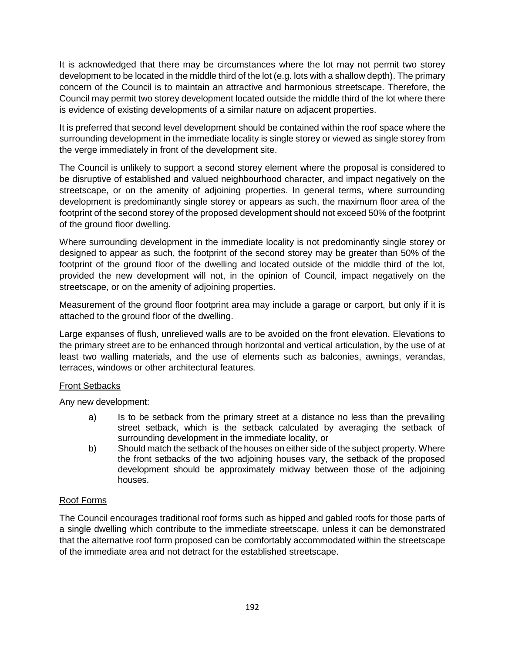It is acknowledged that there may be circumstances where the lot may not permit two storey development to be located in the middle third of the lot (e.g. lots with a shallow depth). The primary concern of the Council is to maintain an attractive and harmonious streetscape. Therefore, the Council may permit two storey development located outside the middle third of the lot where there is evidence of existing developments of a similar nature on adjacent properties.

It is preferred that second level development should be contained within the roof space where the surrounding development in the immediate locality is single storey or viewed as single storey from the verge immediately in front of the development site.

The Council is unlikely to support a second storey element where the proposal is considered to be disruptive of established and valued neighbourhood character, and impact negatively on the streetscape, or on the amenity of adjoining properties. In general terms, where surrounding development is predominantly single storey or appears as such, the maximum floor area of the footprint of the second storey of the proposed development should not exceed 50% of the footprint of the ground floor dwelling.

Where surrounding development in the immediate locality is not predominantly single storey or designed to appear as such, the footprint of the second storey may be greater than 50% of the footprint of the ground floor of the dwelling and located outside of the middle third of the lot, provided the new development will not, in the opinion of Council, impact negatively on the streetscape, or on the amenity of adjoining properties.

Measurement of the ground floor footprint area may include a garage or carport, but only if it is attached to the ground floor of the dwelling.

Large expanses of flush, unrelieved walls are to be avoided on the front elevation. Elevations to the primary street are to be enhanced through horizontal and vertical articulation, by the use of at least two walling materials, and the use of elements such as balconies, awnings, verandas, terraces, windows or other architectural features.

## Front Setbacks

Any new development:

- a) Is to be setback from the primary street at a distance no less than the prevailing street setback, which is the setback calculated by averaging the setback of surrounding development in the immediate locality, or
- b) Should match the setback of the houses on either side of the subject property. Where the front setbacks of the two adjoining houses vary, the setback of the proposed development should be approximately midway between those of the adjoining houses.

# Roof Forms

The Council encourages traditional roof forms such as hipped and gabled roofs for those parts of a single dwelling which contribute to the immediate streetscape, unless it can be demonstrated that the alternative roof form proposed can be comfortably accommodated within the streetscape of the immediate area and not detract for the established streetscape.